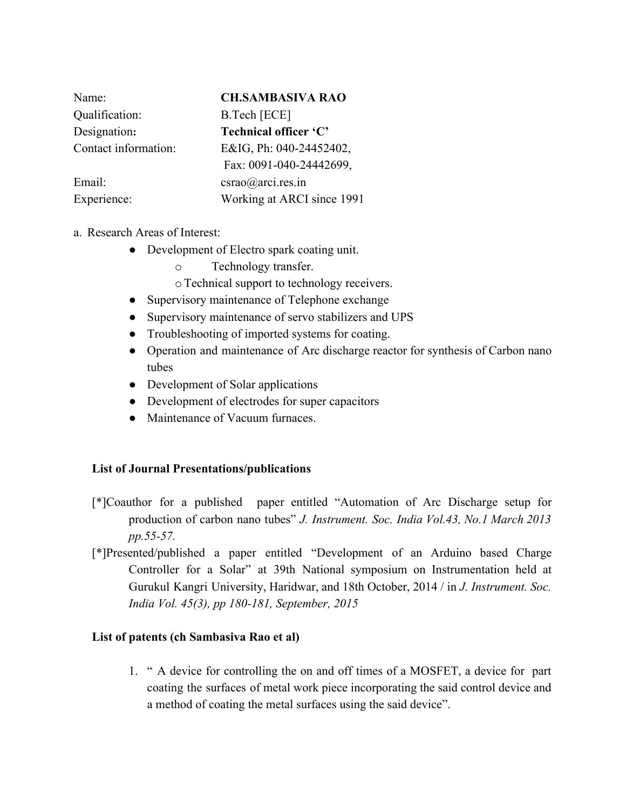| Name:                | <b>CH.SAMBASIVA RAO</b>    |
|----------------------|----------------------------|
| Qualification:       | B.Tech [ECE]               |
| Designation:         | Technical officer 'C'      |
| Contact information: | E&IG, Ph: 040-24452402,    |
|                      | Fax: 0091-040-24442699,    |
| Email:               | $c$ srao $@$ arci.res.in   |
| Experience:          | Working at ARCI since 1991 |

- a. Research Areas of Interest:
	- Development of Electro spark coating unit.
		- o Technology transfer.
		- oTechnical support to technology receivers.
	- Supervisory maintenance of Telephone exchange
	- Supervisory maintenance of servo stabilizers and UPS
	- Troubleshooting of imported systems for coating.
	- Operation and maintenance of Arc discharge reactor for synthesis of Carbon nano tubes
	- Development of Solar applications
	- Development of electrodes for super capacitors
	- Maintenance of Vacuum furnaces

## **List of Journal Presentations/publications**

- [\*]Coauthor for a published paper entitled "Automation of Arc Discharge setup for production of carbon nano tubes" *J. Instrument. Soc. India Vol.43, No.1 March 2013 pp.55-57.*
- [\*]Presented/published a paper entitled "Development of an Arduino based Charge Controller for a Solar" at 39th National symposium on Instrumentation held at Gurukul Kangri University, Haridwar, and 18th October, 2014 / in *J. Instrument. Soc. India Vol. 45(3), pp 180-181, September, 2015*

## **List of patents (ch Sambasiva Rao et al)**

1. " A device for controlling the on and off times of a MOSFET, a device for part coating the surfaces of metal work piece incorporating the said control device and a method of coating the metal surfaces using the said device".